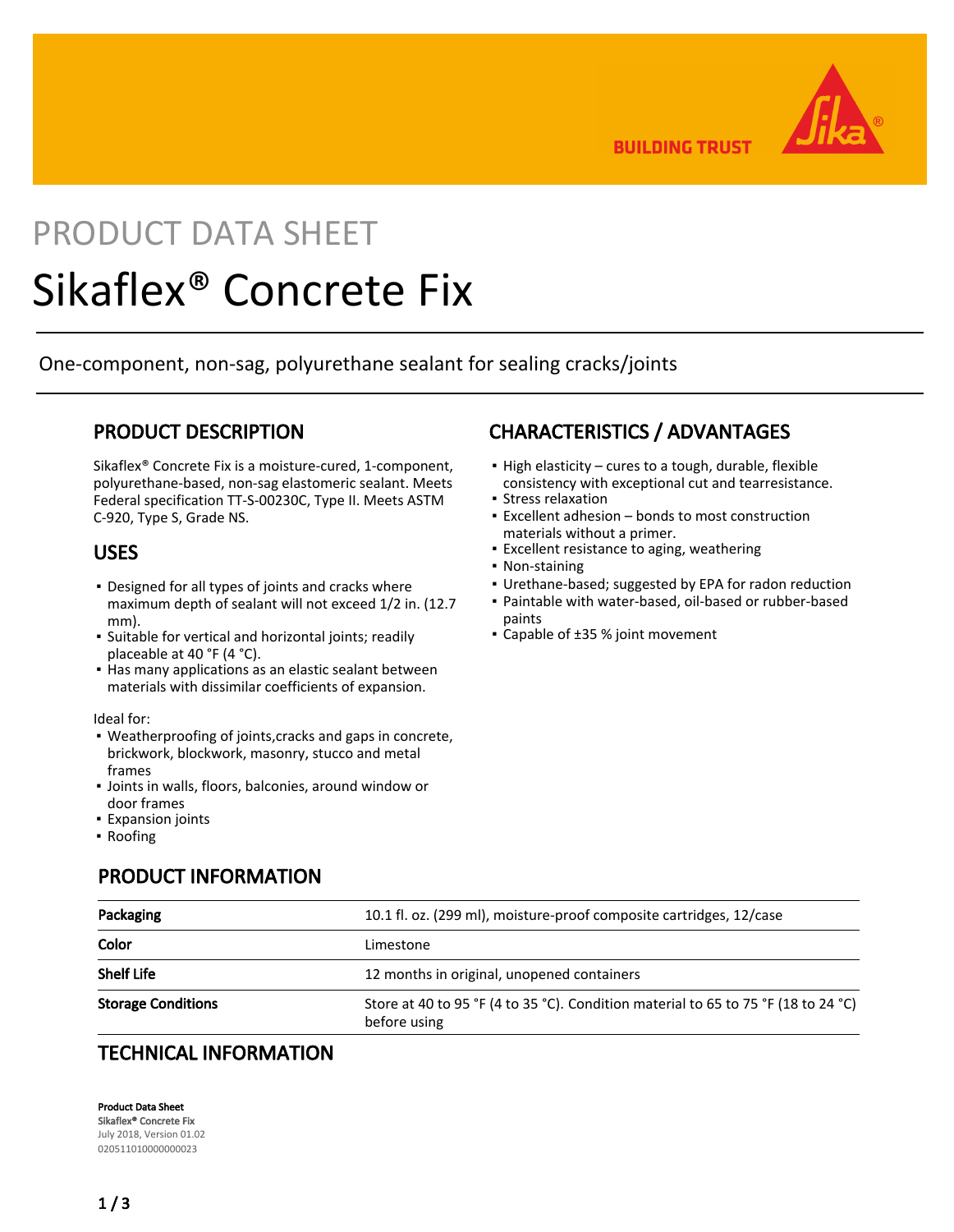

**BUILDING TRUST** 

# PRODUCT DATA SHEET

# Sikaflex® Concrete Fix

One-component, non-sag, polyurethane sealant for sealing cracks/joints

# PRODUCT DESCRIPTION

Sikaflex® Concrete Fix is a moisture-cured, 1-component, polyurethane-based, non-sag elastomeric sealant. Meets Federal specification TT-S-00230C, Type II. Meets ASTM C-920, Type S, Grade NS.

## USES

- **Designed for all types of joints and cracks where** maximum depth of sealant will not exceed 1/2 in. (12.7 mm).
- **·** Suitable for vertical and horizontal joints; readily placeable at 40 °F (4 °C).
- **.** Has many applications as an elastic sealant between materials with dissimilar coefficients of expansion.

Ideal for:

- Weatherproofing of joints,cracks and gaps in concrete, brickwork, blockwork, masonry, stucco and metal frames
- Joints in walls, floors, balconies, around window or door frames
- Expansion joints
- Roofing

# CHARACTERISTICS / ADVANTAGES

- **.** High elasticity cures to a tough, durable, flexible consistency with exceptional cut and tearresistance.
- **· Stress relaxation**
- Excellent adhesion bonds to most construction materials without a primer.
- **Excellent resistance to aging, weathering**
- Non-staining
- Urethane-based; suggested by EPA for radon reduction
- Paintable with water-based, oil-based or rubber-based paints
- Capable of ±35 % joint movement

| Packaging                 | 10.1 fl. oz. (299 ml), moisture-proof composite cartridges, 12/case                                |  |  |
|---------------------------|----------------------------------------------------------------------------------------------------|--|--|
| Color                     | Limestone                                                                                          |  |  |
| <b>Shelf Life</b>         | 12 months in original, unopened containers                                                         |  |  |
| <b>Storage Conditions</b> | Store at 40 to 95 °F (4 to 35 °C). Condition material to 65 to 75 °F (18 to 24 °C)<br>before using |  |  |

# TECHNICAL INFORMATION

PRODUCT INFORMATION

Product Data Sheet Sikaflex® Concrete Fix

July 2018, Version 01.02 020511010000000023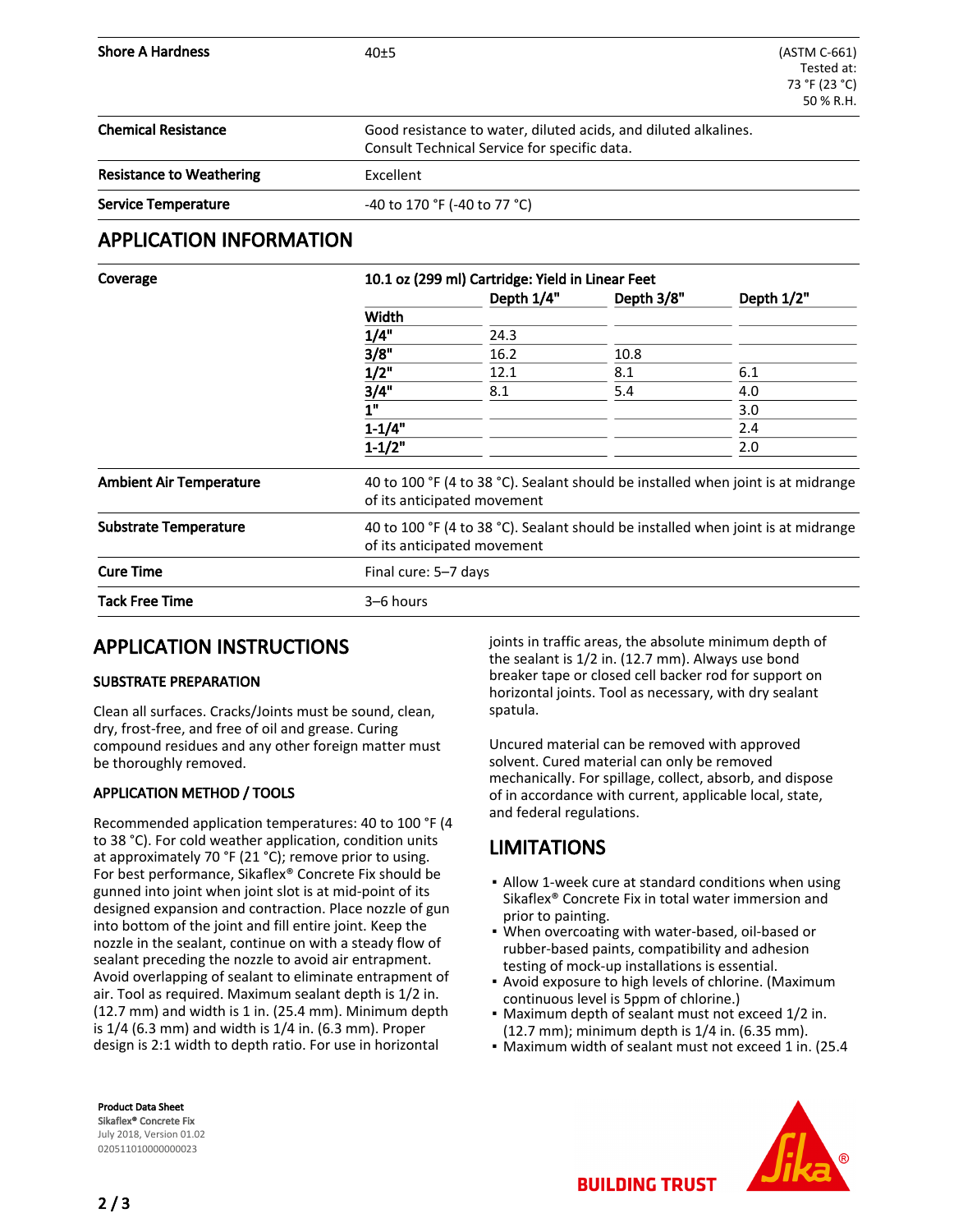| <b>Shore A Hardness</b>         | 40±5                                                                                                            | (ASTM C-661)<br>Tested at:<br>73 °F (23 °C)<br>50 % R.H. |  |
|---------------------------------|-----------------------------------------------------------------------------------------------------------------|----------------------------------------------------------|--|
| <b>Chemical Resistance</b>      | Good resistance to water, diluted acids, and diluted alkalines.<br>Consult Technical Service for specific data. |                                                          |  |
| <b>Resistance to Weathering</b> | Excellent                                                                                                       |                                                          |  |
| <b>Service Temperature</b>      | -40 to 170 °F (-40 to 77 °C)                                                                                    |                                                          |  |

### APPLICATION INFORMATION

| Coverage                       | 10.1 oz (299 ml) Cartridge: Yield in Linear Feet<br>Depth 1/4"<br>Depth 3/8"<br>Depth 1/2"                      |      |      |     |  |  |
|--------------------------------|-----------------------------------------------------------------------------------------------------------------|------|------|-----|--|--|
|                                | Width                                                                                                           |      |      |     |  |  |
|                                | 1/4"                                                                                                            | 24.3 |      |     |  |  |
|                                | 3/8"                                                                                                            | 16.2 | 10.8 |     |  |  |
|                                | 1/2"                                                                                                            | 12.1 | 8.1  | 6.1 |  |  |
|                                | 3/4"                                                                                                            | 8.1  | 5.4  | 4.0 |  |  |
|                                | 1"                                                                                                              |      |      | 3.0 |  |  |
|                                | $1 - 1/4"$                                                                                                      |      |      | 2.4 |  |  |
|                                | $1 - 1/2"$                                                                                                      |      |      | 2.0 |  |  |
| <b>Ambient Air Temperature</b> | 40 to 100 °F (4 to 38 °C). Sealant should be installed when joint is at midrange<br>of its anticipated movement |      |      |     |  |  |
| <b>Substrate Temperature</b>   | 40 to 100 °F (4 to 38 °C). Sealant should be installed when joint is at midrange<br>of its anticipated movement |      |      |     |  |  |
| <b>Cure Time</b>               | Final cure: 5-7 days                                                                                            |      |      |     |  |  |
| <b>Tack Free Time</b>          | 3-6 hours                                                                                                       |      |      |     |  |  |

# APPLICATION INSTRUCTIONS

#### SUBSTRATE PREPARATION

Clean all surfaces. Cracks/Joints must be sound, clean, dry, frost-free, and free of oil and grease. Curing compound residues and any other foreign matter must be thoroughly removed.

#### APPLICATION METHOD / TOOLS

Recommended application temperatures: 40 to 100 °F (4 to 38 °C). For cold weather application, condition units at approximately 70 °F (21 °C); remove prior to using. For best performance, Sikaflex® Concrete Fix should be gunned into joint when joint slot is at mid-point of its designed expansion and contraction. Place nozzle of gun into bottom of the joint and fill entire joint. Keep the nozzle in the sealant, continue on with a steady flow of sealant preceding the nozzle to avoid air entrapment. Avoid overlapping of sealant to eliminate entrapment of air. Tool as required. Maximum sealant depth is 1/2 in. (12.7 mm) and width is 1 in. (25.4 mm). Minimum depth is 1/4 (6.3 mm) and width is 1/4 in. (6.3 mm). Proper design is 2:1 width to depth ratio. For use in horizontal

joints in traffic areas, the absolute minimum depth of the sealant is 1/2 in. (12.7 mm). Always use bond breaker tape or closed cell backer rod for support on horizontal joints. Tool as necessary, with dry sealant spatula.

Uncured material can be removed with approved solvent. Cured material can only be removed mechanically. For spillage, collect, absorb, and dispose of in accordance with current, applicable local, state, and federal regulations.

# LIMITATIONS

- **-** Allow 1-week cure at standard conditions when using Sikaflex® Concrete Fix in total water immersion and prior to painting.
- . When overcoating with water-based, oil-based or rubber-based paints, compatibility and adhesion testing of mock-up installations is essential.
- **Avoid exposure to high levels of chlorine. (Maximum** continuous level is 5ppm of chlorine.)
- Maximum depth of sealant must not exceed 1/2 in. (12.7 mm); minimum depth is 1/4 in. (6.35 mm).
- Maximum width of sealant must not exceed 1 in. (25.4



Product Data Sheet Sikaflex® Concrete Fix July 2018, Version 01.02 020511010000000023

**BUILDING TRUST**